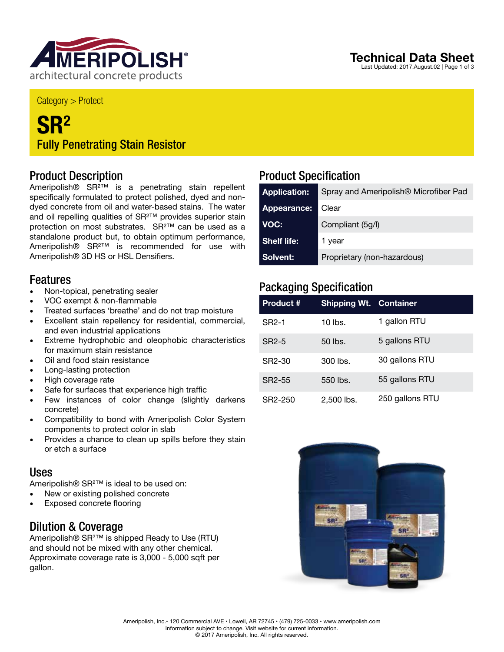

#### Category > Protect

## **SR2** Fully Penetrating Stain Resistor

### Product Description

Ameripolish® SR<sup>2™</sup> is a penetrating stain repellent specifically formulated to protect polished, dyed and nondyed concrete from oil and water-based stains. The water and oil repelling qualities of SR<sup>2™</sup> provides superior stain protection on most substrates. SR²™ can be used as a standalone product but, to obtain optimum performance, Ameripolish® SR²™ is recommended for use with Ameripolish® 3D HS or HSL Densifiers.

### Features

- Non-topical, penetrating sealer
- VOC exempt & non-flammable
- Treated surfaces 'breathe' and do not trap moisture
- Excellent stain repellency for residential, commercial, and even industrial applications
- Extreme hydrophobic and oleophobic characteristics for maximum stain resistance
- Oil and food stain resistance
- Long-lasting protection
- High coverage rate
- Safe for surfaces that experience high traffic
- Few instances of color change (slightly darkens concrete)
- Compatibility to bond with Ameripolish Color System components to protect color in slab
- Provides a chance to clean up spills before they stain or etch a surface

### Uses

Ameripolish® SR<sup>2™</sup> is ideal to be used on:

- New or existing polished concrete
- Exposed concrete flooring

## Dilution & Coverage

Ameripolish® SR<sup>2™</sup> is shipped Ready to Use (RTU) and should not be mixed with any other chemical. Approximate coverage rate is 3,000 - 5,000 sqft per gallon.

## Product Specification

| <b>Application:</b> | Spray and Ameripolish <sup>®</sup> Microfiber Pad |  |
|---------------------|---------------------------------------------------|--|
| Appearance:         | Clear                                             |  |
| VOC:                | Compliant (5g/l)                                  |  |
| <b>Shelf life:</b>  | 1 year                                            |  |
| Solvent:            | Proprietary (non-hazardous)                       |  |

## Packaging Specification

| <b>Product #</b>    | <b>Shipping Wt. Container</b> |                 |
|---------------------|-------------------------------|-----------------|
| SR <sub>2</sub> -1  | $10$ lbs.                     | 1 gallon RTU    |
| SR <sub>2</sub> -5  | 50 lbs.                       | 5 gallons RTU   |
| SR <sub>2</sub> -30 | $300$ lbs.                    | 30 gallons RTU  |
| SR2-55              | 550 lbs.                      | 55 gallons RTU  |
| SR2-250             | $2.500$ lbs.                  | 250 gallons RTU |



## **Technical Data Sheet**

Last Updated: 2017.August.02 | Page 1 of 3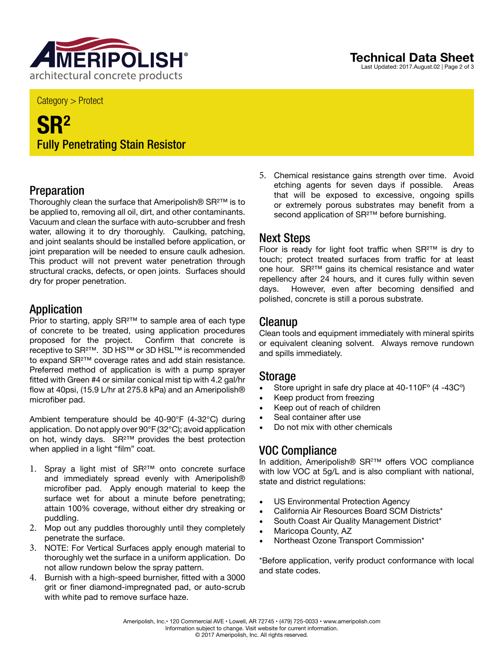

Category > Protect

# **SR2** Fully Penetrating Stain Resistor

## Preparation

Thoroughly clean the surface that Ameripolish® SR²™ is to be applied to, removing all oil, dirt, and other contaminants. Vacuum and clean the surface with auto-scrubber and fresh water, allowing it to dry thoroughly. Caulking, patching, and joint sealants should be installed before application, or joint preparation will be needed to ensure caulk adhesion. This product will not prevent water penetration through structural cracks, defects, or open joints. Surfaces should dry for proper penetration.

### **Application**

Prior to starting, apply SR<sup>2™</sup> to sample area of each type of concrete to be treated, using application procedures proposed for the project. Confirm that concrete is receptive to SR²™. 3D HS™ or 3D HSL™ is recommended to expand SR²™ coverage rates and add stain resistance. Preferred method of application is with a pump sprayer fitted with Green #4 or similar conical mist tip with 4.2 gal/hr flow at 40psi, (15.9 L/hr at 275.8 kPa) and an Ameripolish® microfiber pad.

Ambient temperature should be 40-90°F (4-32°C) during application. Do not apply over 90°F (32°C); avoid application on hot, windy days. SR²™ provides the best protection when applied in a light "film" coat.

- 1. Spray a light mist of SR²™ onto concrete surface and immediately spread evenly with Ameripolish® microfiber pad. Apply enough material to keep the surface wet for about a minute before penetrating; attain 100% coverage, without either dry streaking or puddling.
- 2. Mop out any puddles thoroughly until they completely penetrate the surface.
- 3. NOTE: For Vertical Surfaces apply enough material to thoroughly wet the surface in a uniform application. Do not allow rundown below the spray pattern.
- 4. Burnish with a high-speed burnisher, fitted with a 3000 grit or finer diamond-impregnated pad, or auto-scrub with white pad to remove surface haze.

5. Chemical resistance gains strength over time. Avoid etching agents for seven days if possible. Areas that will be exposed to excessive, ongoing spills or extremely porous substrates may benefit from a second application of SR<sup>2™</sup> before burnishing.

## Next Steps

Floor is ready for light foot traffic when SR²™ is dry to touch; protect treated surfaces from traffic for at least one hour. SR²™ gains its chemical resistance and water repellency after 24 hours, and it cures fully within seven days. However, even after becoming densified and polished, concrete is still a porous substrate.

### **Cleanup**

Clean tools and equipment immediately with mineral spirits or equivalent cleaning solvent. Always remove rundown and spills immediately.

#### Storage

- Store upright in safe dry place at 40-110Fº (4 -43Cº)
- Keep product from freezing
- Keep out of reach of children
- Seal container after use
- Do not mix with other chemicals

## VOC Compliance

In addition, Ameripolish® SR2 ™ offers VOC compliance with low VOC at 5g/L and is also compliant with national, state and district regulations:

- US Environmental Protection Agency
- California Air Resources Board SCM Districts\*
- South Coast Air Quality Management District\*
- Maricopa County, AZ
- Northeast Ozone Transport Commission\*

\*Before application, verify product conformance with local and state codes.